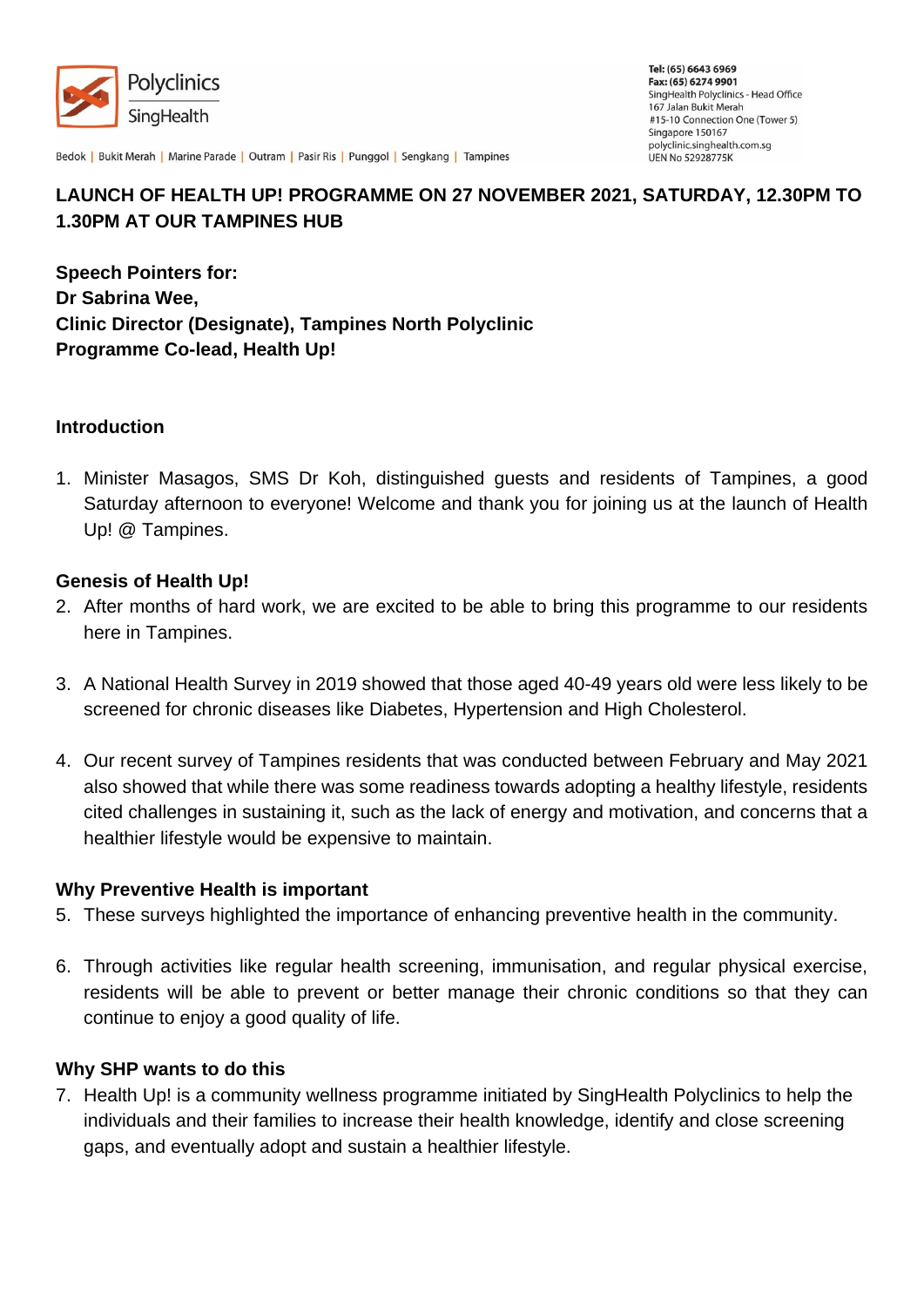

Bedok | Bukit Merah | Marine Parade | Outram | Pasir Ris | Punggol | Sengkang | Tampines

# **LAUNCH OF HEALTH UP! PROGRAMME ON 27 NOVEMBER 2021, SATURDAY, 12.30PM TO 1.30PM AT OUR TAMPINES HUB**

**Speech Pointers for: Dr Sabrina Wee, Clinic Director (Designate), Tampines North Polyclinic Programme Co-lead, Health Up!**

## **Introduction**

1. Minister Masagos, SMS Dr Koh, distinguished guests and residents of Tampines, a good Saturday afternoon to everyone! Welcome and thank you for joining us at the launch of Health Up! @ Tampines.

## **Genesis of Health Up!**

- 2. After months of hard work, we are excited to be able to bring this programme to our residents here in Tampines.
- 3. A National Health Survey in 2019 showed that those aged 40-49 years old were less likely to be screened for chronic diseases like Diabetes, Hypertension and High Cholesterol.
- 4. Our recent survey of Tampines residents that was conducted between February and May 2021 also showed that while there was some readiness towards adopting a healthy lifestyle, residents cited challenges in sustaining it, such as the lack of energy and motivation, and concerns that a healthier lifestyle would be expensive to maintain.

#### **Why Preventive Health is important**

- 5. These surveys highlighted the importance of enhancing preventive health in the community.
- 6. Through activities like regular health screening, immunisation, and regular physical exercise, residents will be able to prevent or better manage their chronic conditions so that they can continue to enjoy a good quality of life.

#### **Why SHP wants to do this**

7. Health Up! is a community wellness programme initiated by SingHealth Polyclinics to help the individuals and their families to increase their health knowledge, identify and close screening gaps, and eventually adopt and sustain a healthier lifestyle.